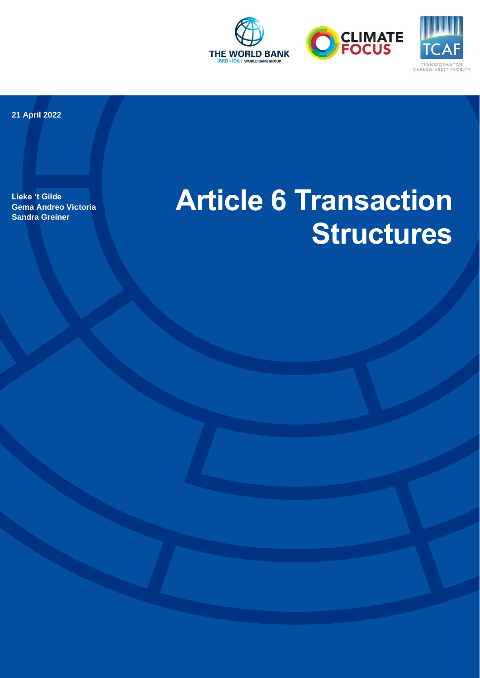





**21 April 2022**

**Lieke 't Gilde Gema Andreo Victoria Sandra Greiner** 

# **Article 6 Transaction Structures**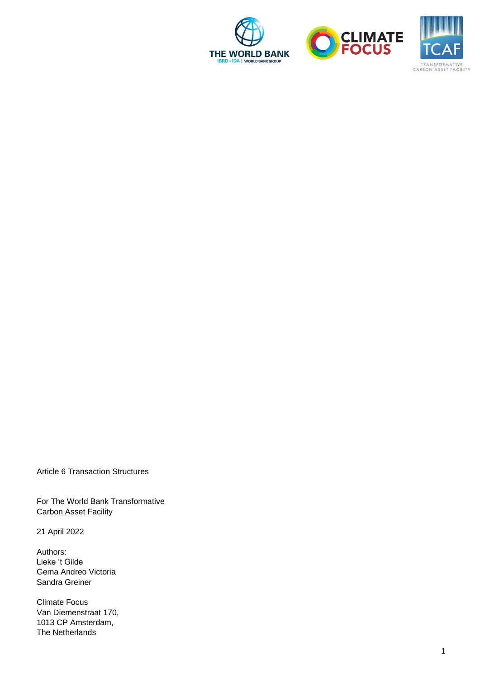





Article 6 Transaction Structures

For The World Bank Transformative Carbon Asset Facility

21 April 2022

Authors: Lieke 't Gilde Gema Andreo Victoria Sandra Greiner

Climate Focus Van Diemenstraat 170, 1013 CP Amsterdam, The Netherlands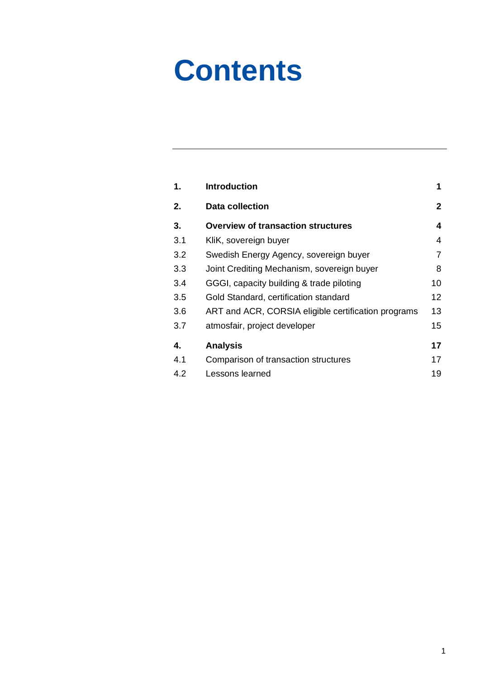# **Contents**

| 1.  | <b>Introduction</b>                                 | 1              |
|-----|-----------------------------------------------------|----------------|
| 2.  | <b>Data collection</b>                              | $\overline{2}$ |
| 3.  | <b>Overview of transaction structures</b>           | 4              |
| 3.1 | KliK, sovereign buyer                               | 4              |
| 3.2 | Swedish Energy Agency, sovereign buyer              | 7              |
| 3.3 | Joint Crediting Mechanism, sovereign buyer          | 8              |
| 3.4 | GGGI, capacity building & trade piloting            | 10             |
| 3.5 | Gold Standard, certification standard               | 12             |
| 3.6 | ART and ACR, CORSIA eligible certification programs | 13             |
| 3.7 | atmosfair, project developer                        | 15             |
| 4.  | <b>Analysis</b>                                     | 17             |
| 4.1 | Comparison of transaction structures                | 17             |
| 4.2 | Lessons learned                                     | 19             |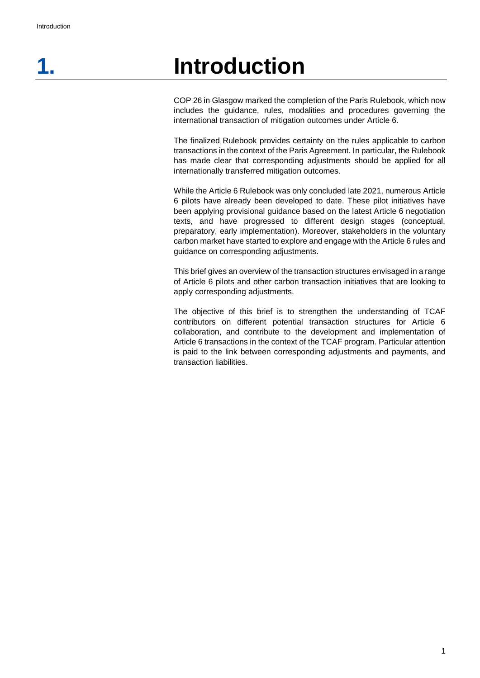## <span id="page-3-0"></span>**1. Introduction**

COP 26 in Glasgow marked the completion of the Paris Rulebook, which now includes the guidance, rules, modalities and procedures governing the international transaction of mitigation outcomes under Article 6.

The finalized Rulebook provides certainty on the rules applicable to carbon transactions in the context of the Paris Agreement. In particular, the Rulebook has made clear that corresponding adjustments should be applied for all internationally transferred mitigation outcomes.

While the Article 6 Rulebook was only concluded late 2021, numerous Article 6 pilots have already been developed to date. These pilot initiatives have been applying provisional guidance based on the latest Article 6 negotiation texts, and have progressed to different design stages (conceptual, preparatory, early implementation). Moreover, stakeholders in the voluntary carbon market have started to explore and engage with the Article 6 rules and guidance on corresponding adjustments.

This brief gives an overview of the transaction structures envisaged in a range of Article 6 pilots and other carbon transaction initiatives that are looking to apply corresponding adjustments.

The objective of this brief is to strengthen the understanding of TCAF contributors on different potential transaction structures for Article 6 collaboration, and contribute to the development and implementation of Article 6 transactions in the context of the TCAF program. Particular attention is paid to the link between corresponding adjustments and payments, and transaction liabilities.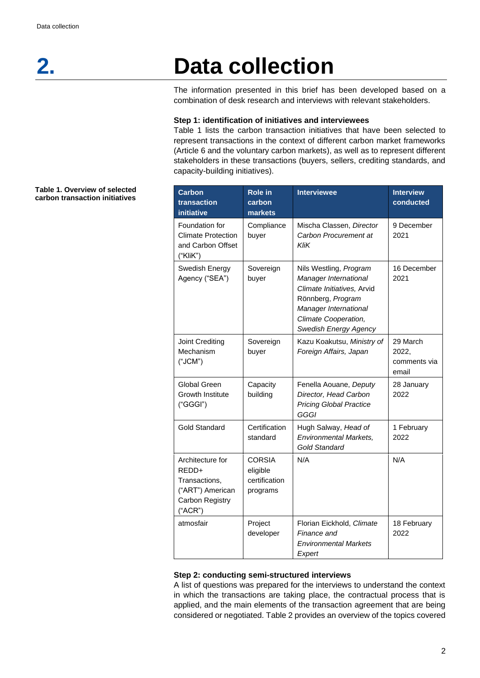## **2. Data collection**

<span id="page-4-0"></span>The information presented in this brief has been developed based on a combination of desk research and interviews with relevant stakeholders.

#### **Step 1: identification of initiatives and interviewees**

Table 1 lists the carbon transaction initiatives that have been selected to represent transactions in the context of different carbon market frameworks (Article 6 and the voluntary carbon markets), as well as to represent different stakeholders in these transactions (buyers, sellers, crediting standards, and capacity-building initiatives).

| <b>Carbon</b><br>transaction<br>initiative                                                          | <b>Role in</b><br>carbon<br>markets                    | <b>Interviewee</b>                                                                                                                                                           | <b>Interview</b><br>conducted              |
|-----------------------------------------------------------------------------------------------------|--------------------------------------------------------|------------------------------------------------------------------------------------------------------------------------------------------------------------------------------|--------------------------------------------|
| Foundation for<br><b>Climate Protection</b><br>and Carbon Offset<br>("KliK")                        | Compliance<br>buyer                                    | Mischa Classen, Director<br>Carbon Procurement at<br>KliK                                                                                                                    | 9 December<br>2021                         |
| Swedish Energy<br>Agency ("SEA")                                                                    | Sovereign<br>buyer                                     | Nils Westling, Program<br>Manager International<br>Climate Initiatives. Arvid<br>Rönnberg, Program<br>Manager International<br>Climate Cooperation,<br>Swedish Energy Agency | 16 December<br>2021                        |
| Joint Crediting<br>Mechanism<br>("JCM")                                                             | Sovereign<br>buyer                                     | Kazu Koakutsu, Ministry of<br>Foreign Affairs, Japan                                                                                                                         | 29 March<br>2022,<br>comments via<br>email |
| Global Green<br>Growth Institute<br>("GGGI")                                                        | Capacity<br>building                                   | Fenella Aouane, Deputy<br>Director, Head Carbon<br><b>Pricing Global Practice</b><br>GGGI                                                                                    | 28 January<br>2022                         |
| <b>Gold Standard</b>                                                                                | Certification<br>standard                              | Hugh Salway, Head of<br><b>Environmental Markets,</b><br><b>Gold Standard</b>                                                                                                | 1 February<br>2022                         |
| Architecture for<br>REDD+<br>Transactions,<br>("ART") American<br><b>Carbon Registry</b><br>("ACR") | <b>CORSIA</b><br>eligible<br>certification<br>programs | N/A                                                                                                                                                                          | N/A                                        |
| atmosfair                                                                                           | Project<br>developer                                   | Florian Eickhold, Climate<br>Finance and<br><b>Environmental Markets</b><br>Expert                                                                                           | 18 February<br>2022                        |

#### **Step 2: conducting semi-structured interviews**

A list of questions was prepared for the interviews to understand the context in which the transactions are taking place, the contractual process that is applied, and the main elements of the transaction agreement that are being considered or negotiated. Table 2 provides an overview of the topics covered

#### **Table 1. Overview of selected carbon transaction initiatives**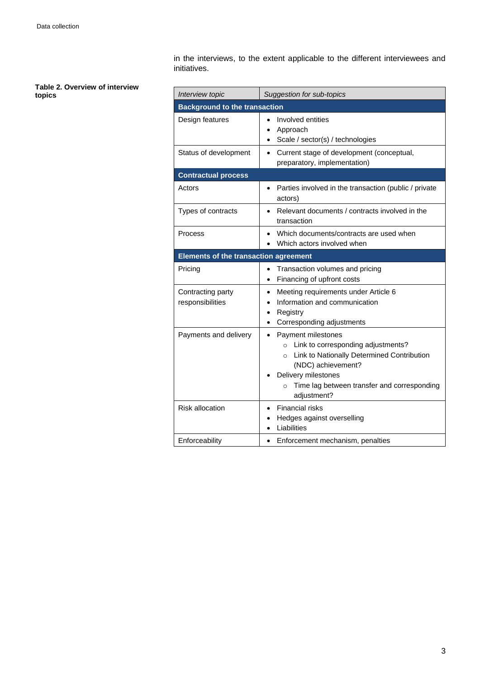in the interviews, to the extent applicable to the different interviewees and initiatives.

| Table 2. Overview of interview |  |  |
|--------------------------------|--|--|
| topics                         |  |  |

 $\overline{a}$ 

| . им<br>topics | Interview topic                              | Suggestion for sub-topics                                                                                                                                                                                                  |  |  |  |
|----------------|----------------------------------------------|----------------------------------------------------------------------------------------------------------------------------------------------------------------------------------------------------------------------------|--|--|--|
|                |                                              | <b>Background to the transaction</b>                                                                                                                                                                                       |  |  |  |
|                | Design features                              | Involved entities<br>Approach<br>$\bullet$<br>Scale / sector(s) / technologies                                                                                                                                             |  |  |  |
|                | Status of development                        | Current stage of development (conceptual,<br>$\bullet$<br>preparatory, implementation)                                                                                                                                     |  |  |  |
|                | <b>Contractual process</b>                   |                                                                                                                                                                                                                            |  |  |  |
|                | Actors                                       | Parties involved in the transaction (public / private<br>actors)                                                                                                                                                           |  |  |  |
|                | Types of contracts                           | Relevant documents / contracts involved in the<br>transaction                                                                                                                                                              |  |  |  |
|                | Process                                      | Which documents/contracts are used when<br>Which actors involved when                                                                                                                                                      |  |  |  |
|                | <b>Elements of the transaction agreement</b> |                                                                                                                                                                                                                            |  |  |  |
|                | Pricing                                      | Transaction volumes and pricing<br>$\bullet$<br>Financing of upfront costs                                                                                                                                                 |  |  |  |
|                | Contracting party<br>responsibilities        | Meeting requirements under Article 6<br>٠<br>Information and communication<br>Registry<br>Corresponding adjustments                                                                                                        |  |  |  |
|                | Payments and delivery                        | Payment milestones<br>o Link to corresponding adjustments?<br>o Link to Nationally Determined Contribution<br>(NDC) achievement?<br>Delivery milestones<br>٠<br>Time lag between transfer and corresponding<br>adjustment? |  |  |  |
|                | <b>Risk allocation</b>                       | Financial risks<br>Hedges against overselling<br>Liabilities                                                                                                                                                               |  |  |  |
|                | Enforceability                               | Enforcement mechanism, penalties<br>$\bullet$                                                                                                                                                                              |  |  |  |

 $\overline{a}$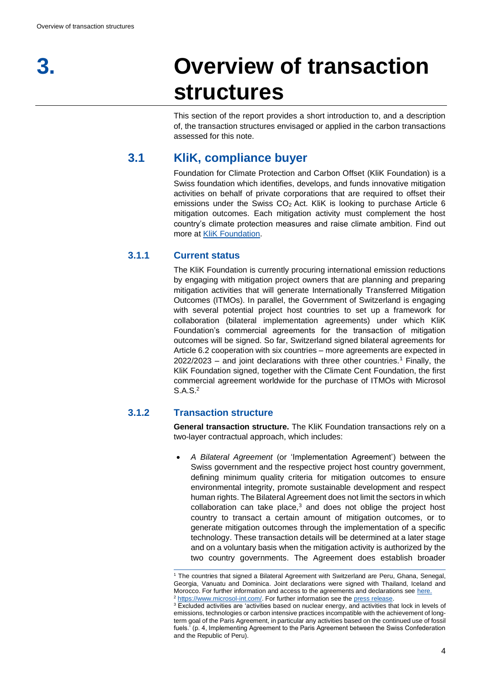## <span id="page-6-0"></span>**3. Overview of transaction structures**

This section of the report provides a short introduction to, and a description of, the transaction structures envisaged or applied in the carbon transactions assessed for this note.

## **3.1 KliK, compliance buyer**

<span id="page-6-1"></span>Foundation for Climate Protection and Carbon Offset (KliK Foundation) is a Swiss foundation which identifies, develops, and funds innovative mitigation activities on behalf of private corporations that are required to offset their emissions under the Swiss CO2 Act. KliK is looking to purchase Article 6 mitigation outcomes. Each mitigation activity must complement the host country's climate protection measures and raise climate ambition. Find out more at [KliK Foundation.](https://www.international.klik.ch/activities/mitigation-activities)

## **3.1.1 Current status**

The KliK Foundation is currently procuring international emission reductions by engaging with mitigation project owners that are planning and preparing mitigation activities that will generate Internationally Transferred Mitigation Outcomes (ITMOs). In parallel, the Government of Switzerland is engaging with several potential project host countries to set up a framework for collaboration (bilateral implementation agreements) under which KliK Foundation's commercial agreements for the transaction of mitigation outcomes will be signed. So far, Switzerland signed bilateral agreements for Article 6.2 cooperation with six countries – more agreements are expected in  $2022/2023$  – and joint declarations with three other countries.<sup>1</sup> Finally, the KliK Foundation signed, together with the Climate Cent Foundation, the first commercial agreement worldwide for the purchase of ITMOs with Microsol S.A.S.<sup>2</sup>

## **3.1.2 Transaction structure**

**General transaction structure.** The KliK Foundation transactions rely on a two-layer contractual approach, which includes:

• *A Bilateral Agreement* (or 'Implementation Agreement') between the Swiss government and the respective project host country government, defining minimum quality criteria for mitigation outcomes to ensure environmental integrity, promote sustainable development and respect human rights. The Bilateral Agreement does not limit the sectors in which collaboration can take place,<sup>3</sup> and does not oblige the project host country to transact a certain amount of mitigation outcomes, or to generate mitigation outcomes through the implementation of a specific technology. These transaction details will be determined at a later stage and on a voluntary basis when the mitigation activity is authorized by the two country governments. The Agreement does establish broader

<sup>1</sup> The countries that signed a Bilateral Agreement with Switzerland are Peru, Ghana, Senegal, Georgia, Vanuatu and Dominica. Joint declarations were signed with Thailand, Iceland and Morocco. For further information and access to the agreements and declarations see [here.](https://www.bafu.admin.ch/bafu/en/home/topics/climate/info-specialists/climate--international-affairs/staatsvertraege-umsetzung-klimauebereinkommen-von-paris-artikel6.html)  <sup>2</sup> [https://www.microsol-int.com/.](https://www.microsol-int.com/) For further information see th[e press release.](https://peru.klik.ch/en/aktuell/weltweit-erster-kaufvertrag-fuer-paris-zertifikate-unterzeichnet)

<sup>&</sup>lt;sup>3</sup> Excluded activities are 'activities based on nuclear energy, and activities that lock in levels of emissions, technologies or carbon intensive practices incompatible with the achievement of longterm goal of the Paris Agreement, in particular any activities based on the continued use of fossil fuels.' (p. 4, Implementing Agreement to the Paris Agreement between the Swiss Confederation and the Republic of Peru).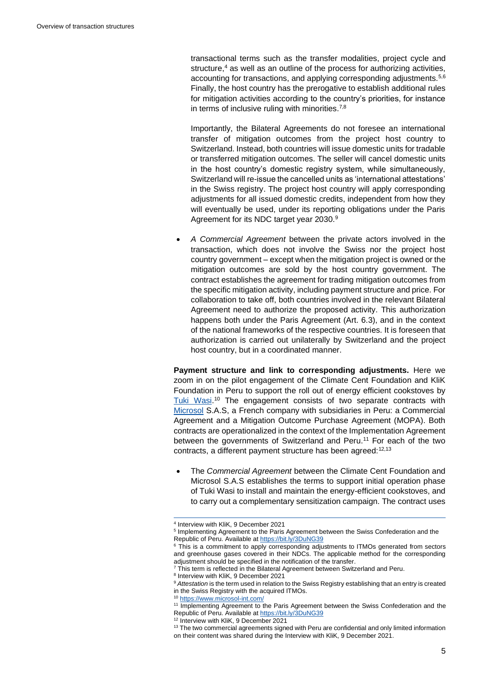transactional terms such as the transfer modalities, project cycle and structure, <sup>4</sup> as well as an outline of the process for authorizing activities, accounting for transactions, and applying corresponding adjustments.<sup>5,6</sup> Finally, the host country has the prerogative to establish additional rules for mitigation activities according to the country's priorities, for instance in terms of inclusive ruling with minorities.<sup>7,8</sup>

Importantly, the Bilateral Agreements do not foresee an international transfer of mitigation outcomes from the project host country to Switzerland. Instead, both countries will issue domestic units for tradable or transferred mitigation outcomes. The seller will cancel domestic units in the host country's domestic registry system, while simultaneously, Switzerland will re-issue the cancelled units as 'international attestations' in the Swiss registry. The project host country will apply corresponding adjustments for all issued domestic credits, independent from how they will eventually be used, under its reporting obligations under the Paris Agreement for its NDC target year 2030.<sup>9</sup>

• *A Commercial Agreement* between the private actors involved in the transaction, which does not involve the Swiss nor the project host country government – except when the mitigation project is owned or the mitigation outcomes are sold by the host country government. The contract establishes the agreement for trading mitigation outcomes from the specific mitigation activity, including payment structure and price. For collaboration to take off, both countries involved in the relevant Bilateral Agreement need to authorize the proposed activity. This authorization happens both under the Paris Agreement (Art. 6.3), and in the context of the national frameworks of the respective countries. It is foreseen that authorization is carried out unilaterally by Switzerland and the project host country, but in a coordinated manner.

**Payment structure and link to corresponding adjustments.** Here we zoom in on the pilot engagement of the Climate Cent Foundation and KliK Foundation in Peru to support the roll out of energy efficient cookstoves by Tuki [Wasi.](http://tukiwasi.org/en/)<sup>10</sup> The engagement consists of two separate contracts with [Microsol](https://www.microsol-int.com/) S.A.S, a French company with subsidiaries in Peru: a Commercial Agreement and a Mitigation Outcome Purchase Agreement (MOPA). Both contracts are operationalized in the context of the Implementation Agreement between the governments of Switzerland and Peru. <sup>11</sup> For each of the two contracts, a different payment structure has been agreed: 12,13

• The *Commercial Agreement* between the Climate Cent Foundation and Microsol S.A.S establishes the terms to support initial operation phase of Tuki Wasi to install and maintain the energy-efficient cookstoves, and to carry out a complementary sensitization campaign. The contract uses

<sup>4</sup> Interview with KliK, 9 December 2021

<sup>&</sup>lt;sup>5</sup> Implementing Agreement to the Paris Agreement between the Swiss Confederation and the Republic of Peru. Available a[t https://bit.ly/3DuNG39](https://bit.ly/3DuNG39)

<sup>&</sup>lt;sup>6</sup> This is a commitment to apply corresponding adjustments to ITMOs generated from sectors and greenhouse gases covered in their NDCs. The applicable method for the corresponding adjustment should be specified in the notification of the transfer.

 $7$  This term is reflected in the Bilateral Agreement between Switzerland and Peru.

<sup>8</sup> Interview with KliK, 9 December 2021

<sup>&</sup>lt;sup>9</sup> Attestation is the term used in relation to the Swiss Registry establishing that an entry is created in the Swiss Registry with the acquired ITMOs.

<sup>10</sup> <https://www.microsol-int.com/>

<sup>&</sup>lt;sup>11</sup> Implementing Agreement to the Paris Agreement between the Swiss Confederation and the Republic of Peru. Available a[t https://bit.ly/3DuNG39](https://bit.ly/3DuNG39)

<sup>12</sup> Interview with KliK, 9 December 2021

 $13$  The two commercial agreements signed with Peru are confidential and only limited information on their content was shared during the Interview with KliK, 9 December 2021.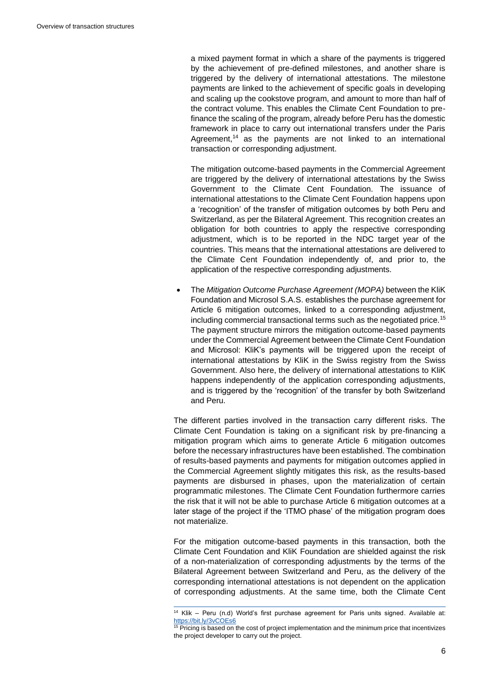a mixed payment format in which a share of the payments is triggered by the achievement of pre-defined milestones, and another share is triggered by the delivery of international attestations. The milestone payments are linked to the achievement of specific goals in developing and scaling up the cookstove program, and amount to more than half of the contract volume. This enables the Climate Cent Foundation to prefinance the scaling of the program, already before Peru has the domestic framework in place to carry out international transfers under the Paris Agreement,<sup>14</sup> as the payments are not linked to an international transaction or corresponding adjustment.

The mitigation outcome-based payments in the Commercial Agreement are triggered by the delivery of international attestations by the Swiss Government to the Climate Cent Foundation. The issuance of international attestations to the Climate Cent Foundation happens upon a 'recognition' of the transfer of mitigation outcomes by both Peru and Switzerland, as per the Bilateral Agreement. This recognition creates an obligation for both countries to apply the respective corresponding adjustment, which is to be reported in the NDC target year of the countries. This means that the international attestations are delivered to the Climate Cent Foundation independently of, and prior to, the application of the respective corresponding adjustments.

• The *Mitigation Outcome Purchase Agreement (MOPA)* between the KliK Foundation and Microsol S.A.S. establishes the purchase agreement for Article 6 mitigation outcomes, linked to a corresponding adjustment, including commercial transactional terms such as the negotiated price.<sup>15</sup> The payment structure mirrors the mitigation outcome-based payments under the Commercial Agreement between the Climate Cent Foundation and Microsol: KliK's payments will be triggered upon the receipt of international attestations by KliK in the Swiss registry from the Swiss Government. Also here, the delivery of international attestations to KliK happens independently of the application corresponding adjustments, and is triggered by the 'recognition' of the transfer by both Switzerland and Peru.

The different parties involved in the transaction carry different risks. The Climate Cent Foundation is taking on a significant risk by pre-financing a mitigation program which aims to generate Article 6 mitigation outcomes before the necessary infrastructures have been established. The combination of results-based payments and payments for mitigation outcomes applied in the Commercial Agreement slightly mitigates this risk, as the results-based payments are disbursed in phases, upon the materialization of certain programmatic milestones. The Climate Cent Foundation furthermore carries the risk that it will not be able to purchase Article 6 mitigation outcomes at a later stage of the project if the 'ITMO phase' of the mitigation program does not materialize.

For the mitigation outcome-based payments in this transaction, both the Climate Cent Foundation and KliK Foundation are shielded against the risk of a non-materialization of corresponding adjustments by the terms of the Bilateral Agreement between Switzerland and Peru, as the delivery of the corresponding international attestations is not dependent on the application of corresponding adjustments. At the same time, both the Climate Cent

<sup>14</sup> Klik – Peru (n.d) World's first purchase agreement for Paris units signed. Available at: <https://bit.ly/3vCOEs6>

 $15$  Pricing is based on the cost of project implementation and the minimum price that incentivizes the project developer to carry out the project.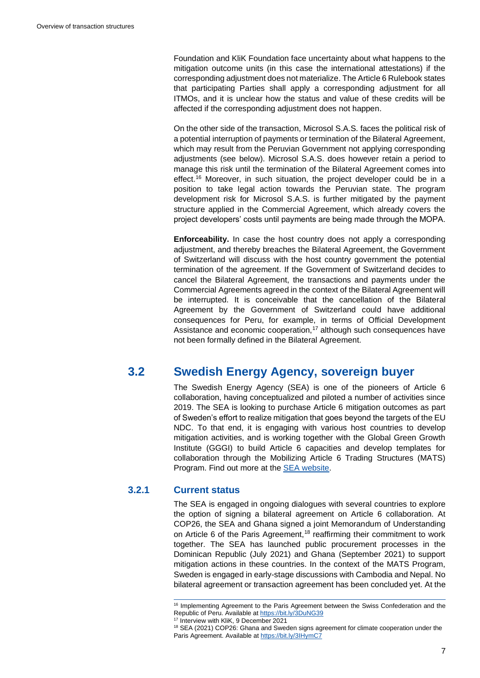Foundation and KliK Foundation face uncertainty about what happens to the mitigation outcome units (in this case the international attestations) if the corresponding adjustment does not materialize. The Article 6 Rulebook states that participating Parties shall apply a corresponding adjustment for all ITMOs, and it is unclear how the status and value of these credits will be affected if the corresponding adjustment does not happen.

On the other side of the transaction, Microsol S.A.S*.* faces the political risk of a potential interruption of payments or termination of the Bilateral Agreement, which may result from the Peruvian Government not applying corresponding adjustments (see below). Microsol S.A.S. does however retain a period to manage this risk until the termination of the Bilateral Agreement comes into effect.<sup>16</sup> Moreover, in such situation, the project developer could be in a position to take legal action towards the Peruvian state. The program development risk for Microsol S.A.S. is further mitigated by the payment structure applied in the Commercial Agreement, which already covers the project developers' costs until payments are being made through the MOPA.

**Enforceability.** In case the host country does not apply a corresponding adjustment, and thereby breaches the Bilateral Agreement, the Government of Switzerland will discuss with the host country government the potential termination of the agreement. If the Government of Switzerland decides to cancel the Bilateral Agreement, the transactions and payments under the Commercial Agreements agreed in the context of the Bilateral Agreement will be interrupted. It is conceivable that the cancellation of the Bilateral Agreement by the Government of Switzerland could have additional consequences for Peru, for example, in terms of Official Development Assistance and economic cooperation, $17$  although such consequences have not been formally defined in the Bilateral Agreement.

## **3.2 Swedish Energy Agency, sovereign buyer**

<span id="page-9-0"></span>The Swedish Energy Agency (SEA) is one of the pioneers of Article 6 collaboration, having conceptualized and piloted a number of activities since 2019. The SEA is looking to purchase Article 6 mitigation outcomes as part of Sweden's effort to realize mitigation that goes beyond the targets of the EU NDC. To that end, it is engaging with various host countries to develop mitigation activities, and is working together with the Global Green Growth Institute (GGGI) to build Article 6 capacities and develop templates for collaboration through the Mobilizing Article 6 Trading Structures (MATS) Program. Find out more at the [SEA website.](https://www.energimyndigheten.se/en/cooperation/swedens-program-for-international-climate-initiatives/cooperationunder-the-parisagreement/)

### **3.2.1 Current status**

The SEA is engaged in ongoing dialogues with several countries to explore the option of signing a bilateral agreement on Article 6 collaboration. At COP26, the SEA and Ghana signed a joint Memorandum of Understanding on Article 6 of the Paris Agreement,<sup>18</sup> reaffirming their commitment to work together. The SEA has launched public procurement processes in the Dominican Republic (July 2021) and Ghana (September 2021) to support mitigation actions in these countries. In the context of the MATS Program, Sweden is engaged in early-stage discussions with Cambodia and Nepal. No bilateral agreement or transaction agreement has been concluded yet. At the

<sup>&</sup>lt;sup>16</sup> Implementing Agreement to the Paris Agreement between the Swiss Confederation and the Republic of Peru. Available a[t https://bit.ly/3DuNG39](https://bit.ly/3DuNG39)

<sup>17</sup> Interview with KliK, 9 December 2021

<sup>&</sup>lt;sup>18</sup> SEA (2021) COP26: Ghana and Sweden signs agreement for climate cooperation under the Paris Agreement. Available a[t https://bit.ly/3IHymC7](https://bit.ly/3IHymC7)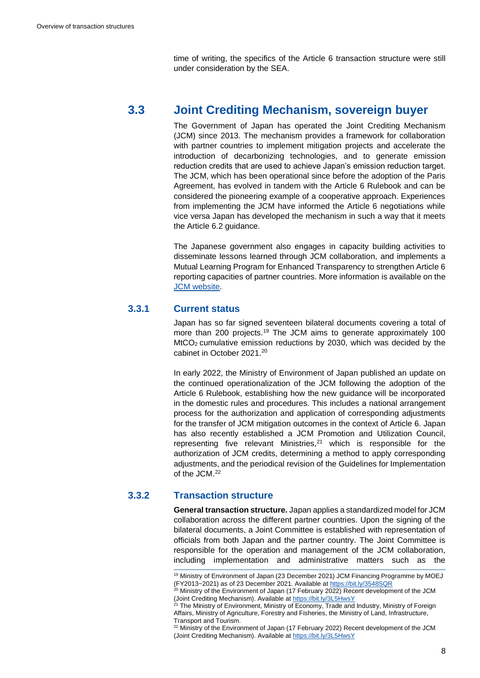time of writing, the specifics of the Article 6 transaction structure were still under consideration by the SEA.

## **3.3 Joint Crediting Mechanism, sovereign buyer**

<span id="page-10-0"></span>The Government of Japan has operated the Joint Crediting Mechanism (JCM) since 2013. The mechanism provides a framework for collaboration with partner countries to implement mitigation projects and accelerate the introduction of decarbonizing technologies, and to generate emission reduction credits that are used to achieve Japan's emission reduction target. The JCM, which has been operational since before the adoption of the Paris Agreement, has evolved in tandem with the Article 6 Rulebook and can be considered the pioneering example of a cooperative approach. Experiences from implementing the JCM have informed the Article 6 negotiations while vice versa Japan has developed the mechanism in such a way that it meets the Article 6.2 guidance.

The Japanese government also engages in capacity building activities to disseminate lessons learned through JCM collaboration, and implements a Mutual Learning Program for Enhanced Transparency to strengthen Article 6 reporting capacities of partner countries. More information is available on the [JCM website.](https://gec.jp/jcm/about/)

#### **3.3.1 Current status**

Japan has so far signed seventeen bilateral documents covering a total of more than 200 projects.<sup>19</sup> The JCM aims to generate approximately 100 MtCO2 cumulative emission reductions by 2030, which was decided by the cabinet in October 2021.<sup>20</sup>

In early 2022, the Ministry of Environment of Japan published an update on the continued operationalization of the JCM following the adoption of the Article 6 Rulebook, establishing how the new guidance will be incorporated in the domestic rules and procedures. This includes a national arrangement process for the authorization and application of corresponding adjustments for the transfer of JCM mitigation outcomes in the context of Article 6. Japan has also recently established a JCM Promotion and Utilization Council, representing five relevant Ministries,<sup>21</sup> which is responsible for the authorization of JCM credits, determining a method to apply corresponding adjustments, and the periodical revision of the Guidelines for Implementation of the JCM.<sup>22</sup>

#### **3.3.2 Transaction structure**

**General transaction structure.** Japan applies a standardized model for JCM collaboration across the different partner countries. Upon the signing of the bilateral documents, a Joint Committee is established with representation of officials from both Japan and the partner country. The Joint Committee is responsible for the operation and management of the JCM collaboration, including implementation and administrative matters such as the

<sup>&</sup>lt;sup>19</sup> Ministry of Environment of Japan (23 December 2021) JCM Financing Programme by MOEJ (FY2013~2021) as of 23 December 2021. Available a[t https://bit.ly/3548SQR](https://bit.ly/3548SQR)

 $^{20}$  Ministry of the Environment of Japan (17 February 2022) Recent development of the JCM (Joint Crediting Mechanism). Available a[t https://bit.ly/3L5HwsY](https://bit.ly/3L5HwsY)

<sup>&</sup>lt;sup>21</sup> The Ministry of Environment, Ministry of Economy, Trade and Industry, Ministry of Foreign Affairs, Ministry of Agriculture, Forestry and Fisheries, the Ministry of Land, Infrastructure, Transport and Tourism.

<sup>&</sup>lt;sup>22</sup> Ministry of the Environment of Japan (17 February 2022) Recent development of the JCM (Joint Crediting Mechanism). Available a[t https://bit.ly/3L5HwsY](https://bit.ly/3L5HwsY)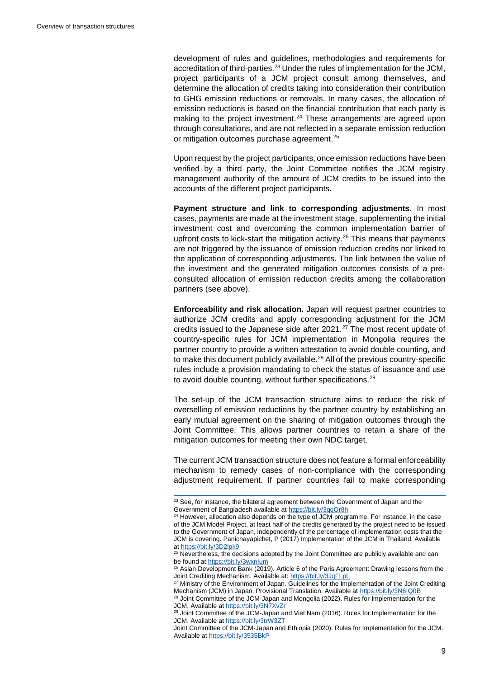development of rules and guidelines, methodologies and requirements for accreditation of third-parties.<sup>23</sup> Under the rules of implementation for the JCM, project participants of a JCM project consult among themselves, and determine the allocation of credits taking into consideration their contribution to GHG emission reductions or removals. In many cases, the allocation of emission reductions is based on the financial contribution that each party is making to the project investment.<sup>24</sup> These arrangements are agreed upon through consultations, and are not reflected in a separate emission reduction or mitigation outcomes purchase agreement.<sup>25</sup>

Upon request by the project participants, once emission reductions have been verified by a third party, the Joint Committee notifies the JCM registry management authority of the amount of JCM credits to be issued into the accounts of the different project participants.

**Payment structure and link to corresponding adjustments.** In most cases, payments are made at the investment stage, supplementing the initial investment cost and overcoming the common implementation barrier of upfront costs to kick-start the mitigation activity.<sup>26</sup> This means that payments are not triggered by the issuance of emission reduction credits nor linked to the application of corresponding adjustments. The link between the value of the investment and the generated mitigation outcomes consists of a preconsulted allocation of emission reduction credits among the collaboration partners (see above).

**Enforceability and risk allocation.** Japan will request partner countries to authorize JCM credits and apply corresponding adjustment for the JCM credits issued to the Japanese side after 2021.<sup>27</sup> The most recent update of country-specific rules for JCM implementation in Mongolia requires the partner country to provide a written attestation to avoid double counting, and to make this document publicly available.<sup>28</sup> All of the previous country-specific rules include a provision mandating to check the status of issuance and use to avoid double counting, without further specifications.<sup>29</sup>

The set-up of the JCM transaction structure aims to reduce the risk of overselling of emission reductions by the partner country by establishing an early mutual agreement on the sharing of mitigation outcomes through the Joint Committee. This allows partner countries to retain a share of the mitigation outcomes for meeting their own NDC target.

The current JCM transaction structure does not feature a formal enforceability mechanism to remedy cases of non-compliance with the corresponding adjustment requirement. If partner countries fail to make corresponding

<sup>&</sup>lt;sup>23</sup> See, for instance, the bilateral agreement between the Government of Japan and the Government of Bangladesh available at<https://bit.ly/3qqOr8h>

<sup>&</sup>lt;sup>24</sup> However, allocation also depends on the type of JCM programme. For instance, in the case of the JCM Model Project, at least half of the credits generated by the project need to be issued to the Government of Japan, independently of the percentage of implementation costs that the JCM is covering. Panichayapichet, P (2017) Implementation of the JCM in Thailand. Available a[t https://bit.ly/3D2lpk9](https://bit.ly/3D2lpk9)

<sup>&</sup>lt;sup>25</sup> Nevertheless, the decisions adopted by the Joint Committee are publicly available and can be found at https://bit.ly/3wxnlum

<sup>&</sup>lt;sup>26</sup> Asian Development Bank (2019). Article 6 of the Paris Agreement: Drawing lessons from the Joint Crediting Mechanism. Available at:<https://bit.ly/3JqFLpL>

<sup>&</sup>lt;sup>27</sup> Ministry of the Environment of Japan. Guidelines for the Implementation of the Joint Crediting Mechanism (JCM) in Japan. Provisional Translation. Available a[t https://bit.ly/3N6IQ0B](https://bit.ly/3N6IQ0B)

<sup>&</sup>lt;sup>28</sup> Joint Committee of the JCM-Japan and Mongolia (2022). Rules for Implementation for the JCM. Available a[t https://bit.ly/3N7XvZr](https://bit.ly/3N7XvZr)

<sup>&</sup>lt;sup>29</sup> Joint Committee of the JCM-Japan and Viet Nam (2016). Rules for Implementation for the JCM. Available a[t https://bit.ly/3trW3ZT](https://bit.ly/3trW3ZT)

Joint Committee of the JCM-Japan and Ethiopia (2020). Rules for Implementation for the JCM. Available a[t https://bit.ly/3535BkP](https://bit.ly/3535BkP)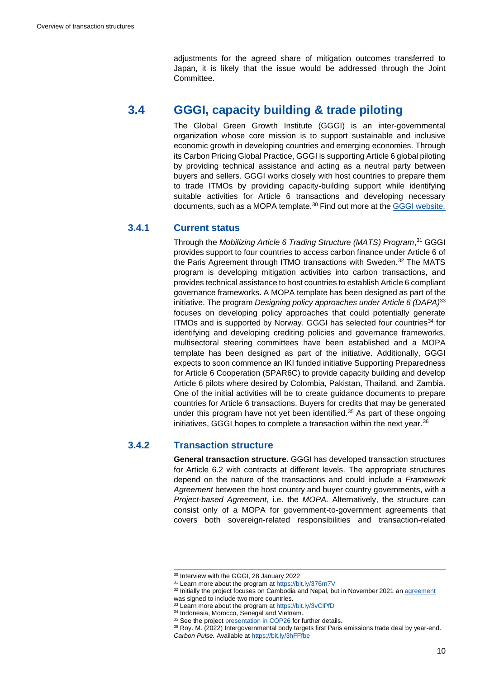adjustments for the agreed share of mitigation outcomes transferred to Japan, it is likely that the issue would be addressed through the Joint Committee.

## **3.4 GGGI, capacity building & trade piloting**

<span id="page-12-0"></span>The Global Green Growth Institute (GGGI) is an inter-governmental organization whose core mission is to support sustainable and inclusive economic growth in developing countries and emerging economies. Through its Carbon Pricing Global Practice, GGGI is supporting Article 6 global piloting by providing technical assistance and acting as a neutral party between buyers and sellers. GGGI works closely with host countries to prepare them to trade ITMOs by providing capacity-building support while identifying suitable activities for Article 6 transactions and developing necessary documents, such as a MOPA template.<sup>30</sup> Find out more at the [GGGI website.](https://gggi.org/global-program/carbon-pricing-unit-cpu/)

#### **3.4.1 Current status**

Through the *Mobilizing Article 6 Trading Structure (MATS) Program*, <sup>31</sup> GGGI provides support to four countries to access carbon finance under Article 6 of the Paris Agreement through ITMO transactions with Sweden.<sup>32</sup> The MATS program is developing mitigation activities into carbon transactions, and provides technical assistance to host countries to establish Article 6 compliant governance frameworks. A MOPA template has been designed as part of the initiative. The program *Designing policy approaches under Article 6 (DAPA)*<sup>33</sup> focuses on developing policy approaches that could potentially generate ITMOs and is supported by Norway. GGGI has selected four countries<sup>34</sup> for identifying and developing crediting policies and governance frameworks, multisectoral steering committees have been established and a MOPA template has been designed as part of the initiative. Additionally, GGGI expects to soon commence an IKI funded initiative Supporting Preparedness for Article 6 Cooperation (SPAR6C) to provide capacity building and develop Article 6 pilots where desired by Colombia, Pakistan, Thailand, and Zambia. One of the initial activities will be to create guidance documents to prepare countries for Article 6 transactions. Buyers for credits that may be generated under this program have not yet been identified.<sup>35</sup> As part of these ongoing initiatives, GGGI hopes to complete a transaction within the next year.<sup>36</sup>

#### **3.4.2 Transaction structure**

**General transaction structure.** GGGI has developed transaction structures for Article 6.2 with contracts at different levels. The appropriate structures depend on the nature of the transactions and could include a *Framework Agreement* between the host country and buyer country governments, with a *Project-based Agreement*, i.e. the *MOPA.* Alternatively, the structure can consist only of a MOPA for government-to-government agreements that covers both sovereign-related responsibilities and transaction-related

<sup>30</sup> Interview with the GGGI, 28 January 2022

<sup>31</sup> Learn more about the program at<https://bit.ly/376rn7V>

<sup>&</sup>lt;sup>32</sup> Initially the project focuses on Cambodia and Nepal, but in November 2021 a[n agreement](https://gggi.org/global-green-growth-institute-and-the-swedish-energy-agency-to-expand-collaboration-on-article-6-activities-in-two-additional-countries/)

was signed to include two more countries.

<sup>33</sup> Learn more about the program at<https://bit.ly/3vClPfD>

<sup>34</sup> Indonesia, Morocco, Senegal and Vietnam.

<sup>&</sup>lt;sup>35</sup> See the projec[t presentation in COP26](https://seors.unfccc.int/applications/seors/attachments/get_attachment?code=57S2OIVA08SNQGG4DH2NXY77SNBDAGQI) for further details.

<sup>36</sup> Roy. M. (2022) Intergovernmental body targets first Paris emissions trade deal by year-end. *Carbon Pulse.* Available a[t https://bit.ly/3hFFfbe](https://bit.ly/3hFFfbe)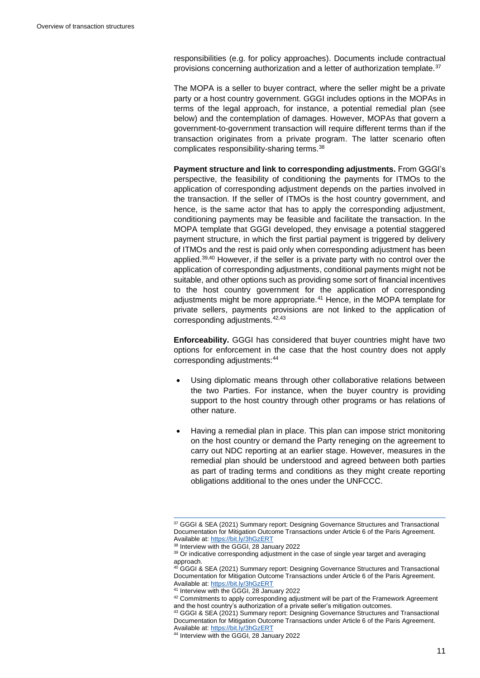responsibilities (e.g. for policy approaches). Documents include contractual provisions concerning authorization and a letter of authorization template.<sup>37</sup>

The MOPA is a seller to buyer contract, where the seller might be a private party or a host country government. GGGI includes options in the MOPAs in terms of the legal approach, for instance, a potential remedial plan (see below) and the contemplation of damages. However, MOPAs that govern a government-to-government transaction will require different terms than if the transaction originates from a private program. The latter scenario often complicates responsibility-sharing terms.<sup>38</sup>

**Payment structure and link to corresponding adjustments.** From GGGI's perspective, the feasibility of conditioning the payments for ITMOs to the application of corresponding adjustment depends on the parties involved in the transaction. If the seller of ITMOs is the host country government, and hence, is the same actor that has to apply the corresponding adjustment, conditioning payments may be feasible and facilitate the transaction. In the MOPA template that GGGI developed, they envisage a potential staggered payment structure, in which the first partial payment is triggered by delivery of ITMOs and the rest is paid only when corresponding adjustment has been applied.39,40 However, if the seller is a private party with no control over the application of corresponding adjustments, conditional payments might not be suitable, and other options such as providing some sort of financial incentives to the host country government for the application of corresponding adjustments might be more appropriate.<sup>41</sup> Hence, in the MOPA template for private sellers, payments provisions are not linked to the application of corresponding adjustments.42,43

**Enforceability.** GGGI has considered that buyer countries might have two options for enforcement in the case that the host country does not apply corresponding adjustments: 44

- Using diplomatic means through other collaborative relations between the two Parties. For instance, when the buyer country is providing support to the host country through other programs or has relations of other nature.
- Having a remedial plan in place. This plan can impose strict monitoring on the host country or demand the Party reneging on the agreement to carry out NDC reporting at an earlier stage. However, measures in the remedial plan should be understood and agreed between both parties as part of trading terms and conditions as they might create reporting obligations additional to the ones under the UNFCCC.

<sup>37</sup> GGGI & SEA (2021) Summary report: Designing Governance Structures and Transactional Documentation for Mitigation Outcome Transactions under Article 6 of the Paris Agreement. Available at[: https://bit.ly/3hGzERT](https://bit.ly/3hGzERT)

<sup>&</sup>lt;sup>38</sup> Interview with the GGGI, 28 January 2022

<sup>&</sup>lt;sup>39</sup> Or indicative corresponding adjustment in the case of single year target and averaging approach.

<sup>&</sup>lt;sup>40</sup> GGGI & SEA (2021) Summary report: Designing Governance Structures and Transactional Documentation for Mitigation Outcome Transactions under Article 6 of the Paris Agreement. Available at[: https://bit.ly/3hGzERT](https://bit.ly/3hGzERT)

<sup>41</sup> Interview with the GGGI, 28 January 2022

<sup>42</sup> Commitments to apply corresponding adjustment will be part of the Framework Agreement and the host country's authorization of a private seller's mitigation outcomes.

<sup>43</sup> GGGI & SEA (2021) Summary report: Designing Governance Structures and Transactional Documentation for Mitigation Outcome Transactions under Article 6 of the Paris Agreement. Available at[: https://bit.ly/3hGzERT](https://bit.ly/3hGzERT)

<sup>44</sup> Interview with the GGGI, 28 January 2022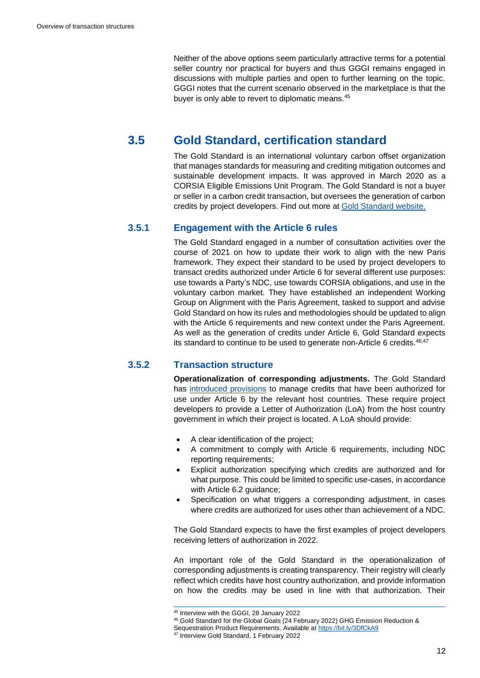Neither of the above options seem particularly attractive terms for a potential seller country nor practical for buyers and thus GGGI remains engaged in discussions with multiple parties and open to further learning on the topic. GGGI notes that the current scenario observed in the marketplace is that the buyer is only able to revert to diplomatic means.<sup>45</sup>

## **3.5 Gold Standard, certification standard**

<span id="page-14-0"></span>The Gold Standard is an international voluntary carbon offset organization that manages standards for measuring and crediting mitigation outcomes and sustainable development impacts. It was approved in March 2020 as a CORSIA Eligible Emissions Unit Program. The Gold Standard is not a buyer or seller in a carbon credit transaction, but oversees the generation of carbon credits by project developers. Find out more at [Gold Standard website.](https://www.goldstandard.org/)

### **3.5.1 Engagement with the Article 6 rules**

The Gold Standard engaged in a number of consultation activities over the course of 2021 on how to update their work to align with the new Paris framework. They expect their standard to be used by project developers to transact credits authorized under Article 6 for several different use purposes: use towards a Party's NDC, use towards CORSIA obligations, and use in the voluntary carbon market. They have established an independent Working Group on Alignment with the Paris Agreement, tasked to support and advise Gold Standard on how its rules and methodologies should be updated to align with the Article 6 requirements and new context under the Paris Agreement. As well as the generation of credits under Article 6, Gold Standard expects its standard to continue to be used to generate non-Article 6 credits. 46,47

## **3.5.2 Transaction structure**

**Operationalization of corresponding adjustments.** The Gold Standard has [introduced provisions](https://globalgoals.goldstandard.org/501-pr-ghg-emissions-reductions-sequestration/) to manage credits that have been authorized for use under Article 6 by the relevant host countries. These require project developers to provide a Letter of Authorization (LoA) from the host country government in which their project is located. A LoA should provide:

- A clear identification of the project;
- A commitment to comply with Article 6 requirements, including NDC reporting requirements;
- Explicit authorization specifying which credits are authorized and for what purpose. This could be limited to specific use-cases, in accordance with Article 6.2 guidance;
- Specification on what triggers a corresponding adjustment, in cases where credits are authorized for uses other than achievement of a NDC.

The Gold Standard expects to have the first examples of project developers receiving letters of authorization in 2022.

An important role of the Gold Standard in the operationalization of corresponding adjustments is creating transparency. Their registry will clearly reflect which credits have host country authorization, and provide information on how the credits may be used in line with that authorization. Their

<sup>45</sup> Interview with the GGGI, 28 January 2022

<sup>46</sup> Gold Standard for the Global Goals (24 February 2022) GHG Emission Reduction &

Sequestration Product Requirements. Available a[t https://bit.ly/3DfCkA9](https://bit.ly/3DfCkA9)

<sup>47</sup> Interview Gold Standard, 1 February 2022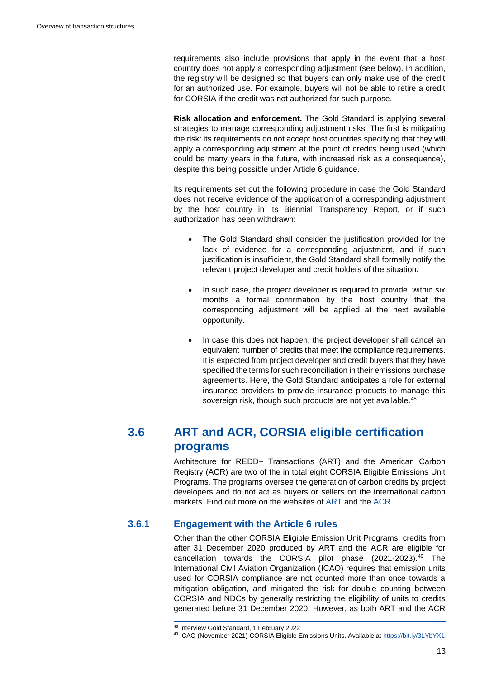requirements also include provisions that apply in the event that a host country does not apply a corresponding adjustment (see below). In addition, the registry will be designed so that buyers can only make use of the credit for an authorized use. For example, buyers will not be able to retire a credit for CORSIA if the credit was not authorized for such purpose.

**Risk allocation and enforcement.** The Gold Standard is applying several strategies to manage corresponding adjustment risks. The first is mitigating the risk: its requirements do not accept host countries specifying that they will apply a corresponding adjustment at the point of credits being used (which could be many years in the future, with increased risk as a consequence), despite this being possible under Article 6 guidance.

Its requirements set out the following procedure in case the Gold Standard does not receive evidence of the application of a corresponding adjustment by the host country in its Biennial Transparency Report, or if such authorization has been withdrawn:

- The Gold Standard shall consider the justification provided for the lack of evidence for a corresponding adjustment, and if such justification is insufficient, the Gold Standard shall formally notify the relevant project developer and credit holders of the situation.
- In such case, the project developer is required to provide, within six months a formal confirmation by the host country that the corresponding adjustment will be applied at the next available opportunity.
- In case this does not happen, the project developer shall cancel an equivalent number of credits that meet the compliance requirements. It is expected from project developer and credit buyers that they have specified the terms for such reconciliation in their emissions purchase agreements. Here, the Gold Standard anticipates a role for external insurance providers to provide insurance products to manage this sovereign risk, though such products are not yet available.<sup>48</sup>

## **3.6 ART and ACR, CORSIA eligible certification programs**

<span id="page-15-0"></span>Architecture for REDD+ Transactions (ART) and the American Carbon Registry (ACR) are two of the in total eight CORSIA Eligible Emissions Unit Programs. The programs oversee the generation of carbon credits by project developers and do not act as buyers or sellers on the international carbon markets. Find out more on the websites of [ART](https://www.artredd.org/) and the [ACR.](https://americancarbonregistry.org/)

## **3.6.1 Engagement with the Article 6 rules**

Other than the other CORSIA Eligible Emission Unit Programs, credits from after 31 December 2020 produced by ART and the ACR are eligible for cancellation towards the CORSIA pilot phase (2021-2023).<sup>49</sup> The International Civil Aviation Organization (ICAO) requires that emission units used for CORSIA compliance are not counted more than once towards a mitigation obligation, and mitigated the risk for double counting between CORSIA and NDCs by generally restricting the eligibility of units to credits generated before 31 December 2020. However, as both ART and the ACR

<sup>48</sup> Interview Gold Standard, 1 February 2022

<sup>49</sup> ICAO (November 2021) CORSIA Eligible Emissions Units. Available a[t https://bit.ly/3LYbYX1](https://bit.ly/3LYbYX1)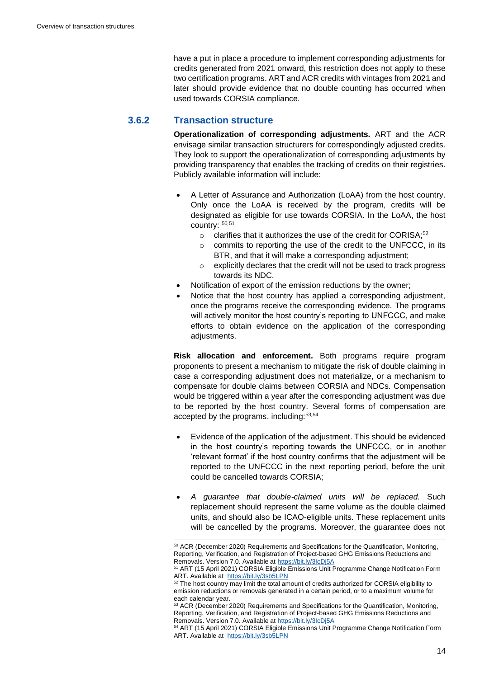have a put in place a procedure to implement corresponding adjustments for credits generated from 2021 onward, this restriction does not apply to these two certification programs. ART and ACR credits with vintages from 2021 and later should provide evidence that no double counting has occurred when used towards CORSIA compliance.

#### **3.6.2 Transaction structure**

**Operationalization of corresponding adjustments.** ART and the ACR envisage similar transaction structurers for correspondingly adjusted credits. They look to support the operationalization of corresponding adjustments by providing transparency that enables the tracking of credits on their registries. Publicly available information will include:

- A Letter of Assurance and Authorization (LoAA) from the host country. Only once the LoAA is received by the program, credits will be designated as eligible for use towards CORSIA. In the LoAA, the host country: <sup>50</sup>*,*<sup>51</sup>
	- $\circ$  clarifies that it authorizes the use of the credit for CORISA:<sup>52</sup>
	- o commits to reporting the use of the credit to the UNFCCC, in its BTR, and that it will make a corresponding adjustment;
	- o explicitly declares that the credit will not be used to track progress towards its NDC.
- Notification of export of the emission reductions by the owner;
- Notice that the host country has applied a corresponding adjustment. once the programs receive the corresponding evidence. The programs will actively monitor the host country's reporting to UNFCCC, and make efforts to obtain evidence on the application of the corresponding adjustments.

**Risk allocation and enforcement.** Both programs require program proponents to present a mechanism to mitigate the risk of double claiming in case a corresponding adjustment does not materialize, or a mechanism to compensate for double claims between CORSIA and NDCs. Compensation would be triggered within a year after the corresponding adjustment was due to be reported by the host country. Several forms of compensation are accepted by the programs, including:<sup>53</sup>*,*<sup>54</sup>

- Evidence of the application of the adjustment. This should be evidenced in the host country's reporting towards the UNFCCC, or in another 'relevant format' if the host country confirms that the adjustment will be reported to the UNFCCC in the next reporting period, before the unit could be cancelled towards CORSIA;
- *A guarantee that double-claimed units will be replaced.* Such replacement should represent the same volume as the double claimed units, and should also be ICAO-eligible units. These replacement units will be cancelled by the programs. Moreover, the guarantee does not

<sup>50</sup> ACR (December 2020) Requirements and Specifications for the Quantification, Monitoring, Reporting, Verification, and Registration of Project-based GHG Emissions Reductions and Removals. Version 7.0. Available at https://bit.ly/3IcDi5A

<sup>51</sup> ART (15 April 2021) CORSIA Eligible Emissions Unit Programme Change Notification Form ART. Available at<https://bit.ly/3sb5LPN>

<sup>&</sup>lt;sup>52</sup> The host country may limit the total amount of credits authorized for CORSIA eligibility to emission reductions or removals generated in a certain period, or to a maximum volume for each calendar year.

<sup>&</sup>lt;sup>53</sup> ACR (December 2020) Requirements and Specifications for the Quantification, Monitoring, Reporting, Verification, and Registration of Project-based GHG Emissions Reductions and Removals. Version 7.0. Available at https://bit.ly/3lcDj5A

<sup>54</sup> ART (15 April 2021) CORSIA Eligible Emissions Unit Programme Change Notification Form ART. Available at<https://bit.ly/3sb5LPN>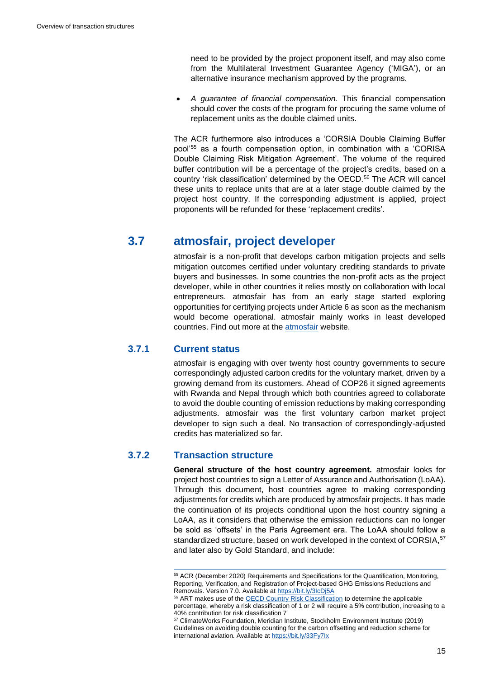need to be provided by the project proponent itself, and may also come from the Multilateral Investment Guarantee Agency ('MIGA'), or an alternative insurance mechanism approved by the programs.

• *A guarantee of financial compensation.* This financial compensation should cover the costs of the program for procuring the same volume of replacement units as the double claimed units.

The ACR furthermore also introduces a 'CORSIA Double Claiming Buffer pool'<sup>55</sup> as a fourth compensation option, in combination with a 'CORISA Double Claiming Risk Mitigation Agreement'. The volume of the required buffer contribution will be a percentage of the project's credits, based on a country 'risk classification' determined by the OECD.<sup>56</sup> The ACR will cancel these units to replace units that are at a later stage double claimed by the project host country. If the corresponding adjustment is applied, project proponents will be refunded for these 'replacement credits'.

## **3.7 atmosfair, project developer**

<span id="page-17-0"></span>atmosfair is a non-profit that develops carbon mitigation projects and sells mitigation outcomes certified under voluntary crediting standards to private buyers and businesses. In some countries the non-profit acts as the project developer, while in other countries it relies mostly on collaboration with local entrepreneurs. atmosfair has from an early stage started exploring opportunities for certifying projects under Article 6 as soon as the mechanism would become operational. atmosfair mainly works in least developed countries. Find out more at the [atmosfair](https://www.atmosfair.de/en/) website.

### **3.7.1 Current status**

atmosfair is engaging with over twenty host country governments to secure correspondingly adjusted carbon credits for the voluntary market, driven by a growing demand from its customers. Ahead of COP26 it signed agreements with Rwanda and Nepal through which both countries agreed to collaborate to avoid the double counting of emission reductions by making corresponding adjustments. atmosfair was the first voluntary carbon market project developer to sign such a deal. No transaction of correspondingly-adjusted credits has materialized so far.

## **3.7.2 Transaction structure**

**General structure of the host country agreement.** atmosfair looks for project host countries to sign a Letter of Assurance and Authorisation (LoAA). Through this document, host countries agree to making corresponding adjustments for credits which are produced by atmosfair projects. It has made the continuation of its projects conditional upon the host country signing a LoAA, as it considers that otherwise the emission reductions can no longer be sold as 'offsets' in the Paris Agreement era. The LoAA should follow a standardized structure, based on work developed in the context of CORSIA, 57 and later also by Gold Standard, and include:

<sup>55</sup> ACR (December 2020) Requirements and Specifications for the Quantification, Monitoring, Reporting, Verification, and Registration of Project-based GHG Emissions Reductions and Removals. Version 7.0. Available at<https://bit.ly/3IcDj5A>

<sup>&</sup>lt;sup>56</sup> ART makes use of the <u>OECD Country Risk Classification</u> to determine the applicable percentage, whereby a risk classification of 1 or 2 will require a 5% contribution, increasing to a 40% contribution for risk classification 7

<sup>57</sup> ClimateWorks Foundation, Meridian Institute, Stockholm Environment Institute (2019) Guidelines on avoiding double counting for the carbon offsetting and reduction scheme for international aviation. Available at https://bit.ly/33Fy7lx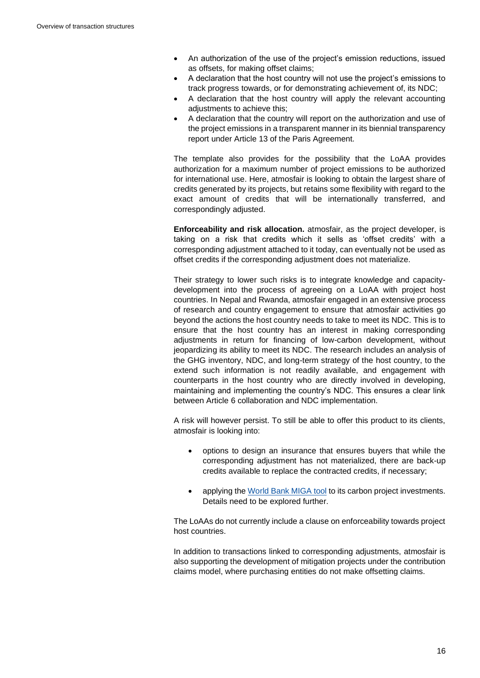- An authorization of the use of the project's emission reductions, issued as offsets, for making offset claims;
- A declaration that the host country will not use the project's emissions to track progress towards, or for demonstrating achievement of, its NDC;
- A declaration that the host country will apply the relevant accounting adiustments to achieve this:
- A declaration that the country will report on the authorization and use of the project emissions in a transparent manner in its biennial transparency report under Article 13 of the Paris Agreement.

The template also provides for the possibility that the LoAA provides authorization for a maximum number of project emissions to be authorized for international use. Here, atmosfair is looking to obtain the largest share of credits generated by its projects, but retains some flexibility with regard to the exact amount of credits that will be internationally transferred, and correspondingly adjusted.

**Enforceability and risk allocation.** atmosfair, as the project developer, is taking on a risk that credits which it sells as 'offset credits' with a corresponding adjustment attached to it today, can eventually not be used as offset credits if the corresponding adjustment does not materialize.

Their strategy to lower such risks is to integrate knowledge and capacitydevelopment into the process of agreeing on a LoAA with project host countries. In Nepal and Rwanda, atmosfair engaged in an extensive process of research and country engagement to ensure that atmosfair activities go beyond the actions the host country needs to take to meet its NDC. This is to ensure that the host country has an interest in making corresponding adjustments in return for financing of low-carbon development, without jeopardizing its ability to meet its NDC. The research includes an analysis of the GHG inventory, NDC, and long-term strategy of the host country, to the extend such information is not readily available, and engagement with counterparts in the host country who are directly involved in developing, maintaining and implementing the country's NDC. This ensures a clear link between Article 6 collaboration and NDC implementation.

A risk will however persist. To still be able to offer this product to its clients, atmosfair is looking into:

- options to design an insurance that ensures buyers that while the corresponding adjustment has not materialized, there are back-up credits available to replace the contracted credits, if necessary;
- applying the [World Bank MIGA tool](https://www.miga.org/) to its carbon project investments. Details need to be explored further.

The LoAAs do not currently include a clause on enforceability towards project host countries.

In addition to transactions linked to corresponding adjustments, atmosfair is also supporting the development of mitigation projects under the contribution claims model, where purchasing entities do not make offsetting claims.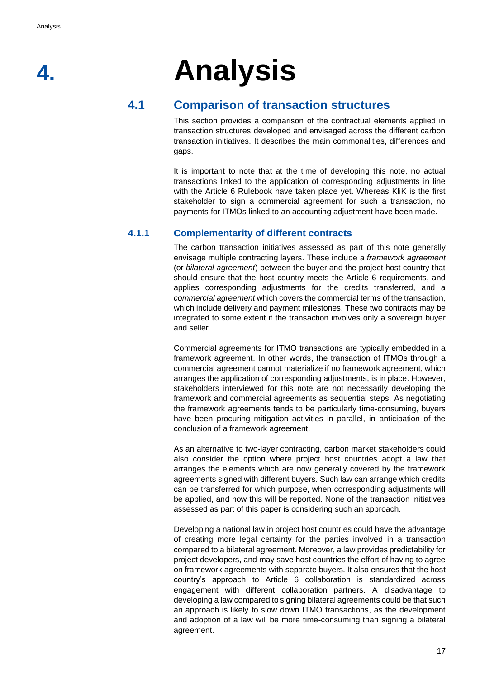# <span id="page-19-0"></span>**4. Analysis**

## **4.1 Comparison of transaction structures**

<span id="page-19-1"></span>This section provides a comparison of the contractual elements applied in transaction structures developed and envisaged across the different carbon transaction initiatives. It describes the main commonalities, differences and gaps.

It is important to note that at the time of developing this note, no actual transactions linked to the application of corresponding adjustments in line with the Article 6 Rulebook have taken place yet. Whereas KliK is the first stakeholder to sign a commercial agreement for such a transaction, no payments for ITMOs linked to an accounting adjustment have been made.

## **4.1.1 Complementarity of different contracts**

The carbon transaction initiatives assessed as part of this note generally envisage multiple contracting layers. These include a *framework agreement* (or *bilateral agreement*) between the buyer and the project host country that should ensure that the host country meets the Article 6 requirements, and applies corresponding adjustments for the credits transferred, and a *commercial agreement* which covers the commercial terms of the transaction, which include delivery and payment milestones. These two contracts may be integrated to some extent if the transaction involves only a sovereign buyer and seller.

Commercial agreements for ITMO transactions are typically embedded in a framework agreement. In other words, the transaction of ITMOs through a commercial agreement cannot materialize if no framework agreement, which arranges the application of corresponding adjustments, is in place. However, stakeholders interviewed for this note are not necessarily developing the framework and commercial agreements as sequential steps. As negotiating the framework agreements tends to be particularly time-consuming, buyers have been procuring mitigation activities in parallel, in anticipation of the conclusion of a framework agreement.

As an alternative to two-layer contracting, carbon market stakeholders could also consider the option where project host countries adopt a law that arranges the elements which are now generally covered by the framework agreements signed with different buyers. Such law can arrange which credits can be transferred for which purpose, when corresponding adjustments will be applied, and how this will be reported. None of the transaction initiatives assessed as part of this paper is considering such an approach.

Developing a national law in project host countries could have the advantage of creating more legal certainty for the parties involved in a transaction compared to a bilateral agreement. Moreover, a law provides predictability for project developers, and may save host countries the effort of having to agree on framework agreements with separate buyers. It also ensures that the host country's approach to Article 6 collaboration is standardized across engagement with different collaboration partners. A disadvantage to developing a law compared to signing bilateral agreements could be that such an approach is likely to slow down ITMO transactions, as the development and adoption of a law will be more time-consuming than signing a bilateral agreement.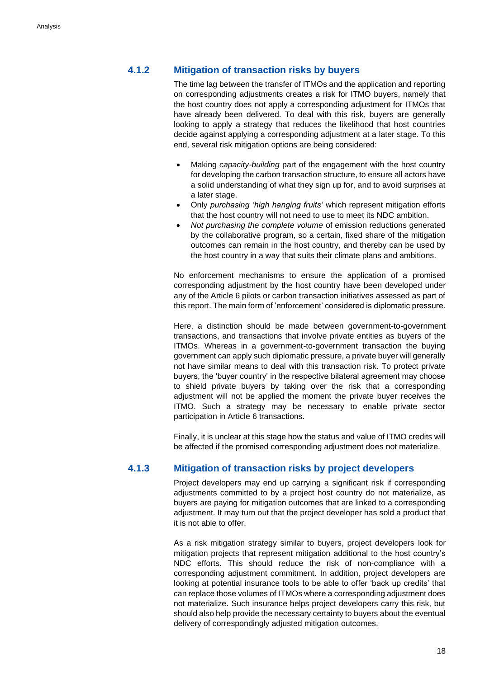## **4.1.2 Mitigation of transaction risks by buyers**

The time lag between the transfer of ITMOs and the application and reporting on corresponding adjustments creates a risk for ITMO buyers, namely that the host country does not apply a corresponding adjustment for ITMOs that have already been delivered. To deal with this risk, buyers are generally looking to apply a strategy that reduces the likelihood that host countries decide against applying a corresponding adjustment at a later stage. To this end, several risk mitigation options are being considered:

- Making *capacity-building* part of the engagement with the host country for developing the carbon transaction structure, to ensure all actors have a solid understanding of what they sign up for, and to avoid surprises at a later stage.
- Only *purchasing 'high hanging fruits'* which represent mitigation efforts that the host country will not need to use to meet its NDC ambition.
- *Not purchasing the complete volume* of emission reductions generated by the collaborative program, so a certain, fixed share of the mitigation outcomes can remain in the host country, and thereby can be used by the host country in a way that suits their climate plans and ambitions.

No enforcement mechanisms to ensure the application of a promised corresponding adjustment by the host country have been developed under any of the Article 6 pilots or carbon transaction initiatives assessed as part of this report. The main form of 'enforcement' considered is diplomatic pressure.

Here, a distinction should be made between government-to-government transactions, and transactions that involve private entities as buyers of the ITMOs. Whereas in a government-to-government transaction the buying government can apply such diplomatic pressure, a private buyer will generally not have similar means to deal with this transaction risk. To protect private buyers, the 'buyer country' in the respective bilateral agreement may choose to shield private buyers by taking over the risk that a corresponding adjustment will not be applied the moment the private buyer receives the ITMO. Such a strategy may be necessary to enable private sector participation in Article 6 transactions.

Finally, it is unclear at this stage how the status and value of ITMO credits will be affected if the promised corresponding adjustment does not materialize.

#### **4.1.3 Mitigation of transaction risks by project developers**

Project developers may end up carrying a significant risk if corresponding adjustments committed to by a project host country do not materialize, as buyers are paying for mitigation outcomes that are linked to a corresponding adjustment. It may turn out that the project developer has sold a product that it is not able to offer.

As a risk mitigation strategy similar to buyers, project developers look for mitigation projects that represent mitigation additional to the host country's NDC efforts. This should reduce the risk of non-compliance with a corresponding adjustment commitment. In addition, project developers are looking at potential insurance tools to be able to offer 'back up credits' that can replace those volumes of ITMOs where a corresponding adjustment does not materialize. Such insurance helps project developers carry this risk, but should also help provide the necessary certainty to buyers about the eventual delivery of correspondingly adjusted mitigation outcomes.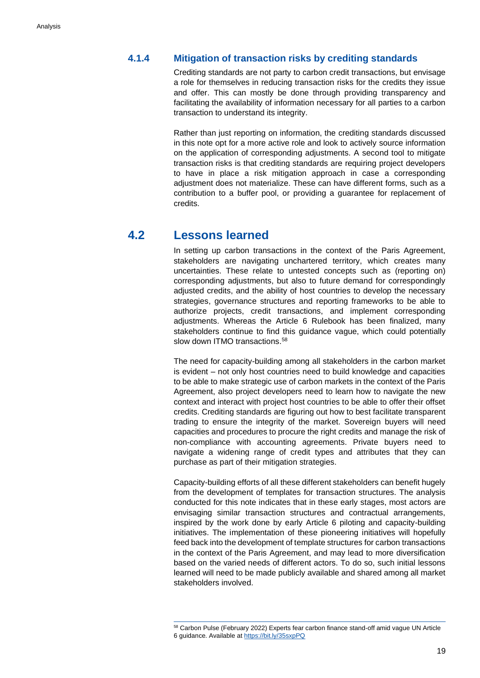## **4.1.4 Mitigation of transaction risks by crediting standards**

Crediting standards are not party to carbon credit transactions, but envisage a role for themselves in reducing transaction risks for the credits they issue and offer. This can mostly be done through providing transparency and facilitating the availability of information necessary for all parties to a carbon transaction to understand its integrity.

Rather than just reporting on information, the crediting standards discussed in this note opt for a more active role and look to actively source information on the application of corresponding adjustments. A second tool to mitigate transaction risks is that crediting standards are requiring project developers to have in place a risk mitigation approach in case a corresponding adjustment does not materialize. These can have different forms, such as a contribution to a buffer pool, or providing a guarantee for replacement of credits.

## **4.2 Lessons learned**

<span id="page-21-0"></span>In setting up carbon transactions in the context of the Paris Agreement, stakeholders are navigating unchartered territory, which creates many uncertainties. These relate to untested concepts such as (reporting on) corresponding adjustments, but also to future demand for correspondingly adjusted credits, and the ability of host countries to develop the necessary strategies, governance structures and reporting frameworks to be able to authorize projects, credit transactions, and implement corresponding adjustments. Whereas the Article 6 Rulebook has been finalized, many stakeholders continue to find this guidance vague, which could potentially slow down ITMO transactions.<sup>58</sup>

The need for capacity-building among all stakeholders in the carbon market is evident – not only host countries need to build knowledge and capacities to be able to make strategic use of carbon markets in the context of the Paris Agreement, also project developers need to learn how to navigate the new context and interact with project host countries to be able to offer their offset credits. Crediting standards are figuring out how to best facilitate transparent trading to ensure the integrity of the market. Sovereign buyers will need capacities and procedures to procure the right credits and manage the risk of non-compliance with accounting agreements. Private buyers need to navigate a widening range of credit types and attributes that they can purchase as part of their mitigation strategies.

Capacity-building efforts of all these different stakeholders can benefit hugely from the development of templates for transaction structures. The analysis conducted for this note indicates that in these early stages, most actors are envisaging similar transaction structures and contractual arrangements, inspired by the work done by early Article 6 piloting and capacity-building initiatives. The implementation of these pioneering initiatives will hopefully feed back into the development of template structures for carbon transactions in the context of the Paris Agreement, and may lead to more diversification based on the varied needs of different actors. To do so, such initial lessons learned will need to be made publicly available and shared among all market stakeholders involved.

<sup>58</sup> Carbon Pulse (February 2022) Experts fear carbon finance stand-off amid vague UN Article 6 guidance. Available a[t https://bit.ly/35sxpPQ](https://bit.ly/35sxpPQ)